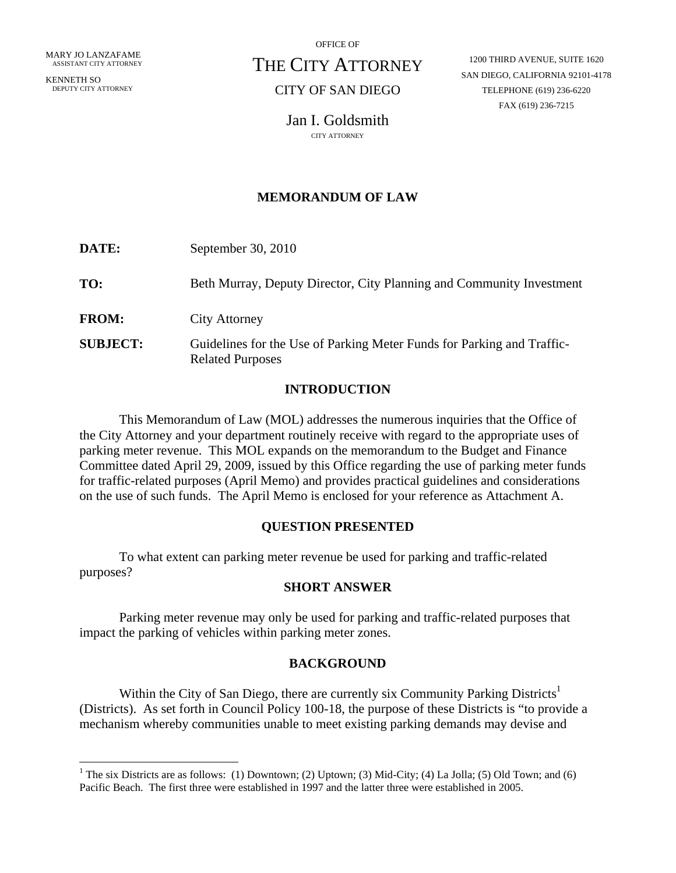KENNETH SO DEPUTY CITY ATTORNEY

1

OFFICE OF

# THE CITY ATTORNEY

# CITY OF SAN DIEGO

1200 THIRD AVENUE, SUITE 1620 SAN DIEGO, CALIFORNIA 92101-4178 TELEPHONE (619) 236-6220 FAX (619) 236-7215

Jan I. Goldsmith

## **MEMORANDUM OF LAW**

| DATE:           | September 30, 2010                                                                                |
|-----------------|---------------------------------------------------------------------------------------------------|
| TO:             | Beth Murray, Deputy Director, City Planning and Community Investment                              |
| <b>FROM:</b>    | <b>City Attorney</b>                                                                              |
| <b>SUBJECT:</b> | Guidelines for the Use of Parking Meter Funds for Parking and Traffic-<br><b>Related Purposes</b> |

## **INTRODUCTION**

This Memorandum of Law (MOL) addresses the numerous inquiries that the Office of the City Attorney and your department routinely receive with regard to the appropriate uses of parking meter revenue. This MOL expands on the memorandum to the Budget and Finance Committee dated April 29, 2009, issued by this Office regarding the use of parking meter funds for traffic-related purposes (April Memo) and provides practical guidelines and considerations on the use of such funds. The April Memo is enclosed for your reference as Attachment A.

## **QUESTION PRESENTED**

To what extent can parking meter revenue be used for parking and traffic-related purposes?

#### **SHORT ANSWER**

Parking meter revenue may only be used for parking and traffic-related purposes that impact the parking of vehicles within parking meter zones.

## **BACKGROUND**

Within the City of San Diego, there are currently six Community Parking Districts<sup>1</sup> (Districts). As set forth in Council Policy 100-18, the purpose of these Districts is "to provide a mechanism whereby communities unable to meet existing parking demands may devise and

<sup>&</sup>lt;sup>1</sup> The six Districts are as follows: (1) Downtown; (2) Uptown; (3) Mid-City; (4) La Jolla; (5) Old Town; and (6) Pacific Beach. The first three were established in 1997 and the latter three were established in 2005.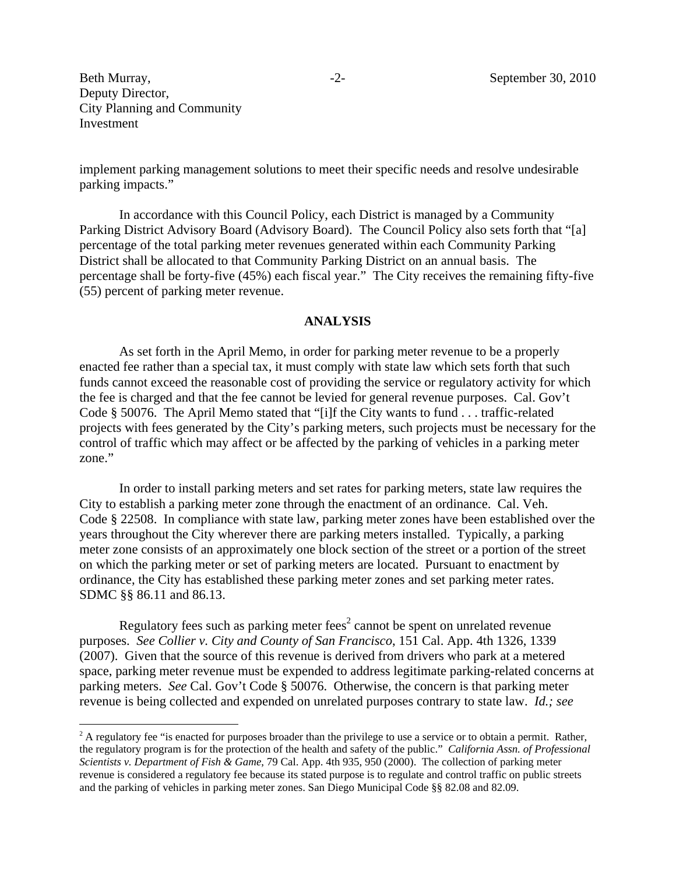$\overline{a}$ 

implement parking management solutions to meet their specific needs and resolve undesirable parking impacts."

In accordance with this Council Policy, each District is managed by a Community Parking District Advisory Board (Advisory Board). The Council Policy also sets forth that "[a] percentage of the total parking meter revenues generated within each Community Parking District shall be allocated to that Community Parking District on an annual basis. The percentage shall be forty-five (45%) each fiscal year." The City receives the remaining fifty-five (55) percent of parking meter revenue.

#### **ANALYSIS**

As set forth in the April Memo, in order for parking meter revenue to be a properly enacted fee rather than a special tax, it must comply with state law which sets forth that such funds cannot exceed the reasonable cost of providing the service or regulatory activity for which the fee is charged and that the fee cannot be levied for general revenue purposes. Cal. Gov't Code § 50076. The April Memo stated that "[i]f the City wants to fund . . . traffic-related projects with fees generated by the City's parking meters, such projects must be necessary for the control of traffic which may affect or be affected by the parking of vehicles in a parking meter zone."

In order to install parking meters and set rates for parking meters, state law requires the City to establish a parking meter zone through the enactment of an ordinance. Cal. Veh. Code § 22508. In compliance with state law, parking meter zones have been established over the years throughout the City wherever there are parking meters installed. Typically, a parking meter zone consists of an approximately one block section of the street or a portion of the street on which the parking meter or set of parking meters are located. Pursuant to enactment by ordinance, the City has established these parking meter zones and set parking meter rates. SDMC §§ 86.11 and 86.13.

Regulatory fees such as parking meter fees<sup>2</sup> cannot be spent on unrelated revenue purposes. *See Collier v. City and County of San Francisco*, 151 Cal. App. 4th 1326, 1339 (2007). Given that the source of this revenue is derived from drivers who park at a metered space, parking meter revenue must be expended to address legitimate parking-related concerns at parking meters. *See* Cal. Gov't Code § 50076. Otherwise, the concern is that parking meter revenue is being collected and expended on unrelated purposes contrary to state law. *Id.; see* 

 $2^2$  A regulatory fee "is enacted for purposes broader than the privilege to use a service or to obtain a permit. Rather, the regulatory program is for the protection of the health and safety of the public." *California Assn. of Professional Scientists v. Department of Fish & Game*, 79 Cal. App. 4th 935, 950 (2000). The collection of parking meter revenue is considered a regulatory fee because its stated purpose is to regulate and control traffic on public streets and the parking of vehicles in parking meter zones. San Diego Municipal Code §§ 82.08 and 82.09.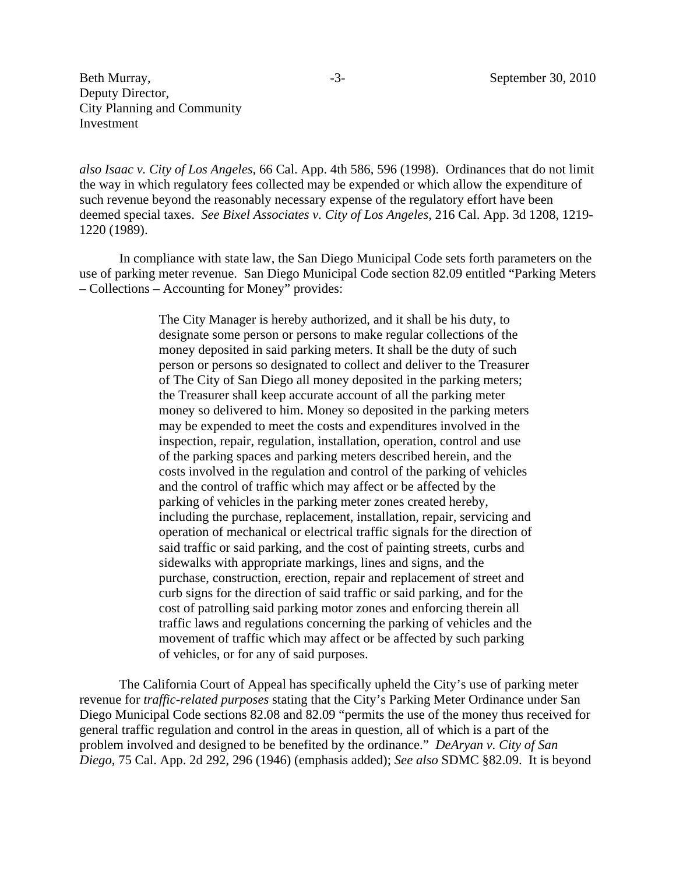*also Isaac v. City of Los Angeles,* 66 Cal. App. 4th 586, 596 (1998). Ordinances that do not limit the way in which regulatory fees collected may be expended or which allow the expenditure of such revenue beyond the reasonably necessary expense of the regulatory effort have been deemed special taxes. *See Bixel Associates v. City of Los Angeles*, 216 Cal. App. 3d 1208, 1219- 1220 (1989).

In compliance with state law, the San Diego Municipal Code sets forth parameters on the use of parking meter revenue. San Diego Municipal Code section 82.09 entitled "Parking Meters – Collections – Accounting for Money" provides:

> The City Manager is hereby authorized, and it shall be his duty, to designate some person or persons to make regular collections of the money deposited in said parking meters. It shall be the duty of such person or persons so designated to collect and deliver to the Treasurer of The City of San Diego all money deposited in the parking meters; the Treasurer shall keep accurate account of all the parking meter money so delivered to him. Money so deposited in the parking meters may be expended to meet the costs and expenditures involved in the inspection, repair, regulation, installation, operation, control and use of the parking spaces and parking meters described herein, and the costs involved in the regulation and control of the parking of vehicles and the control of traffic which may affect or be affected by the parking of vehicles in the parking meter zones created hereby, including the purchase, replacement, installation, repair, servicing and operation of mechanical or electrical traffic signals for the direction of said traffic or said parking, and the cost of painting streets, curbs and sidewalks with appropriate markings, lines and signs, and the purchase, construction, erection, repair and replacement of street and curb signs for the direction of said traffic or said parking, and for the cost of patrolling said parking motor zones and enforcing therein all traffic laws and regulations concerning the parking of vehicles and the movement of traffic which may affect or be affected by such parking of vehicles, or for any of said purposes.

The California Court of Appeal has specifically upheld the City's use of parking meter revenue for *traffic-related purposes* stating that the City's Parking Meter Ordinance under San Diego Municipal Code sections 82.08 and 82.09 "permits the use of the money thus received for general traffic regulation and control in the areas in question, all of which is a part of the problem involved and designed to be benefited by the ordinance." *DeAryan v. City of San Diego*, 75 Cal. App. 2d 292, 296 (1946) (emphasis added); *See also* SDMC §82.09. It is beyond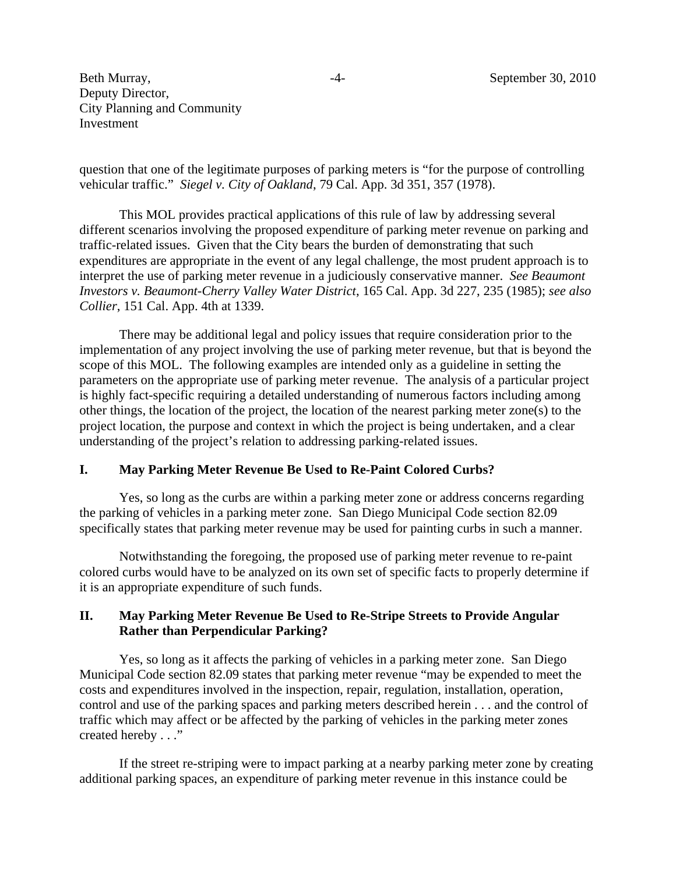-4- September 30, 2010

Beth Murray, Deputy Director, City Planning and Community Investment

question that one of the legitimate purposes of parking meters is "for the purpose of controlling vehicular traffic." *Siegel v. City of Oakland*, 79 Cal. App. 3d 351, 357 (1978).

This MOL provides practical applications of this rule of law by addressing several different scenarios involving the proposed expenditure of parking meter revenue on parking and traffic-related issues. Given that the City bears the burden of demonstrating that such expenditures are appropriate in the event of any legal challenge, the most prudent approach is to interpret the use of parking meter revenue in a judiciously conservative manner. *See Beaumont Investors v. Beaumont-Cherry Valley Water District*, 165 Cal. App. 3d 227, 235 (1985); *see also Collier*, 151 Cal. App. 4th at 1339.

There may be additional legal and policy issues that require consideration prior to the implementation of any project involving the use of parking meter revenue, but that is beyond the scope of this MOL. The following examples are intended only as a guideline in setting the parameters on the appropriate use of parking meter revenue. The analysis of a particular project is highly fact-specific requiring a detailed understanding of numerous factors including among other things, the location of the project, the location of the nearest parking meter zone(s) to the project location, the purpose and context in which the project is being undertaken, and a clear understanding of the project's relation to addressing parking-related issues.

## **I. May Parking Meter Revenue Be Used to Re-Paint Colored Curbs?**

Yes, so long as the curbs are within a parking meter zone or address concerns regarding the parking of vehicles in a parking meter zone. San Diego Municipal Code section 82.09 specifically states that parking meter revenue may be used for painting curbs in such a manner.

Notwithstanding the foregoing, the proposed use of parking meter revenue to re-paint colored curbs would have to be analyzed on its own set of specific facts to properly determine if it is an appropriate expenditure of such funds.

## **II. May Parking Meter Revenue Be Used to Re-Stripe Streets to Provide Angular Rather than Perpendicular Parking?**

Yes, so long as it affects the parking of vehicles in a parking meter zone. San Diego Municipal Code section 82.09 states that parking meter revenue "may be expended to meet the costs and expenditures involved in the inspection, repair, regulation, installation, operation, control and use of the parking spaces and parking meters described herein . . . and the control of traffic which may affect or be affected by the parking of vehicles in the parking meter zones created hereby . . ."

If the street re-striping were to impact parking at a nearby parking meter zone by creating additional parking spaces, an expenditure of parking meter revenue in this instance could be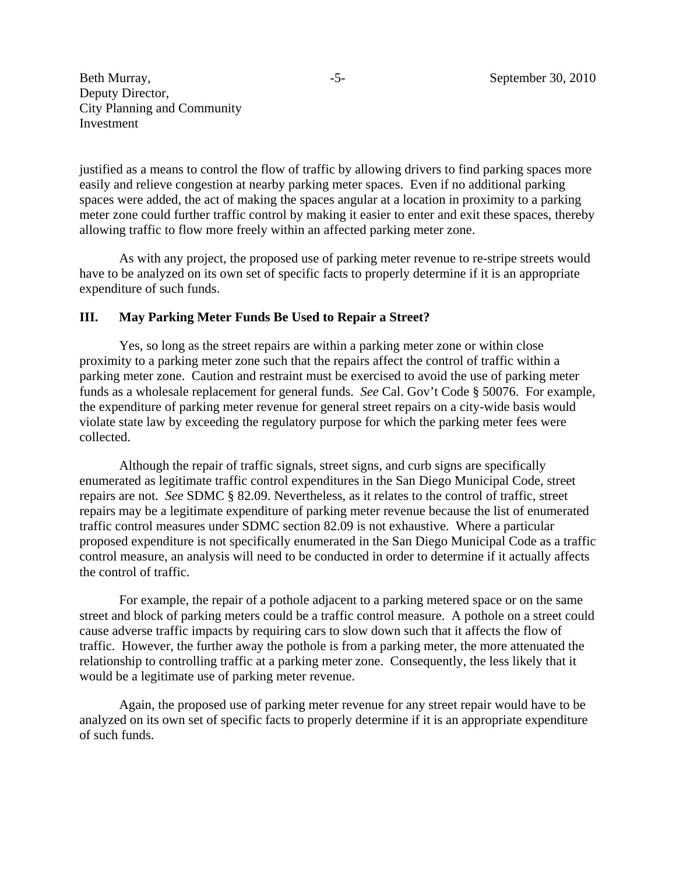justified as a means to control the flow of traffic by allowing drivers to find parking spaces more easily and relieve congestion at nearby parking meter spaces. Even if no additional parking spaces were added, the act of making the spaces angular at a location in proximity to a parking meter zone could further traffic control by making it easier to enter and exit these spaces, thereby allowing traffic to flow more freely within an affected parking meter zone.

As with any project, the proposed use of parking meter revenue to re-stripe streets would have to be analyzed on its own set of specific facts to properly determine if it is an appropriate expenditure of such funds.

#### **III. May Parking Meter Funds Be Used to Repair a Street?**

Yes, so long as the street repairs are within a parking meter zone or within close proximity to a parking meter zone such that the repairs affect the control of traffic within a parking meter zone. Caution and restraint must be exercised to avoid the use of parking meter funds as a wholesale replacement for general funds. *See* Cal. Gov't Code § 50076. For example, the expenditure of parking meter revenue for general street repairs on a city-wide basis would violate state law by exceeding the regulatory purpose for which the parking meter fees were collected.

Although the repair of traffic signals, street signs, and curb signs are specifically enumerated as legitimate traffic control expenditures in the San Diego Municipal Code, street repairs are not. *See* SDMC § 82.09. Nevertheless, as it relates to the control of traffic, street repairs may be a legitimate expenditure of parking meter revenue because the list of enumerated traffic control measures under SDMC section 82.09 is not exhaustive. Where a particular proposed expenditure is not specifically enumerated in the San Diego Municipal Code as a traffic control measure, an analysis will need to be conducted in order to determine if it actually affects the control of traffic.

For example, the repair of a pothole adjacent to a parking metered space or on the same street and block of parking meters could be a traffic control measure. A pothole on a street could cause adverse traffic impacts by requiring cars to slow down such that it affects the flow of traffic. However, the further away the pothole is from a parking meter, the more attenuated the relationship to controlling traffic at a parking meter zone. Consequently, the less likely that it would be a legitimate use of parking meter revenue.

Again, the proposed use of parking meter revenue for any street repair would have to be analyzed on its own set of specific facts to properly determine if it is an appropriate expenditure of such funds.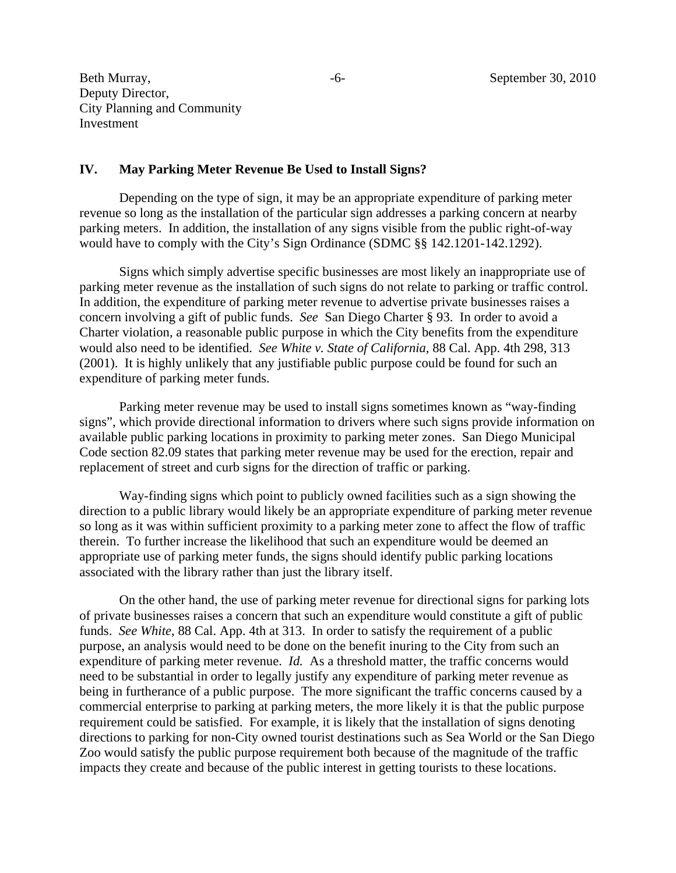#### **IV. May Parking Meter Revenue Be Used to Install Signs?**

Depending on the type of sign, it may be an appropriate expenditure of parking meter revenue so long as the installation of the particular sign addresses a parking concern at nearby parking meters. In addition, the installation of any signs visible from the public right-of-way would have to comply with the City's Sign Ordinance (SDMC §§ 142.1201-142.1292).

Signs which simply advertise specific businesses are most likely an inappropriate use of parking meter revenue as the installation of such signs do not relate to parking or traffic control. In addition, the expenditure of parking meter revenue to advertise private businesses raises a concern involving a gift of public funds. *See* San Diego Charter § 93. In order to avoid a Charter violation, a reasonable public purpose in which the City benefits from the expenditure would also need to be identified. *See White v. State of California*, 88 Cal. App. 4th 298, 313 (2001). It is highly unlikely that any justifiable public purpose could be found for such an expenditure of parking meter funds.

Parking meter revenue may be used to install signs sometimes known as "way-finding signs", which provide directional information to drivers where such signs provide information on available public parking locations in proximity to parking meter zones. San Diego Municipal Code section 82.09 states that parking meter revenue may be used for the erection, repair and replacement of street and curb signs for the direction of traffic or parking.

Way-finding signs which point to publicly owned facilities such as a sign showing the direction to a public library would likely be an appropriate expenditure of parking meter revenue so long as it was within sufficient proximity to a parking meter zone to affect the flow of traffic therein. To further increase the likelihood that such an expenditure would be deemed an appropriate use of parking meter funds, the signs should identify public parking locations associated with the library rather than just the library itself.

On the other hand, the use of parking meter revenue for directional signs for parking lots of private businesses raises a concern that such an expenditure would constitute a gift of public funds. *See White*, 88 Cal. App. 4th at 313. In order to satisfy the requirement of a public purpose, an analysis would need to be done on the benefit inuring to the City from such an expenditure of parking meter revenue. *Id.* As a threshold matter, the traffic concerns would need to be substantial in order to legally justify any expenditure of parking meter revenue as being in furtherance of a public purpose. The more significant the traffic concerns caused by a commercial enterprise to parking at parking meters, the more likely it is that the public purpose requirement could be satisfied. For example, it is likely that the installation of signs denoting directions to parking for non-City owned tourist destinations such as Sea World or the San Diego Zoo would satisfy the public purpose requirement both because of the magnitude of the traffic impacts they create and because of the public interest in getting tourists to these locations.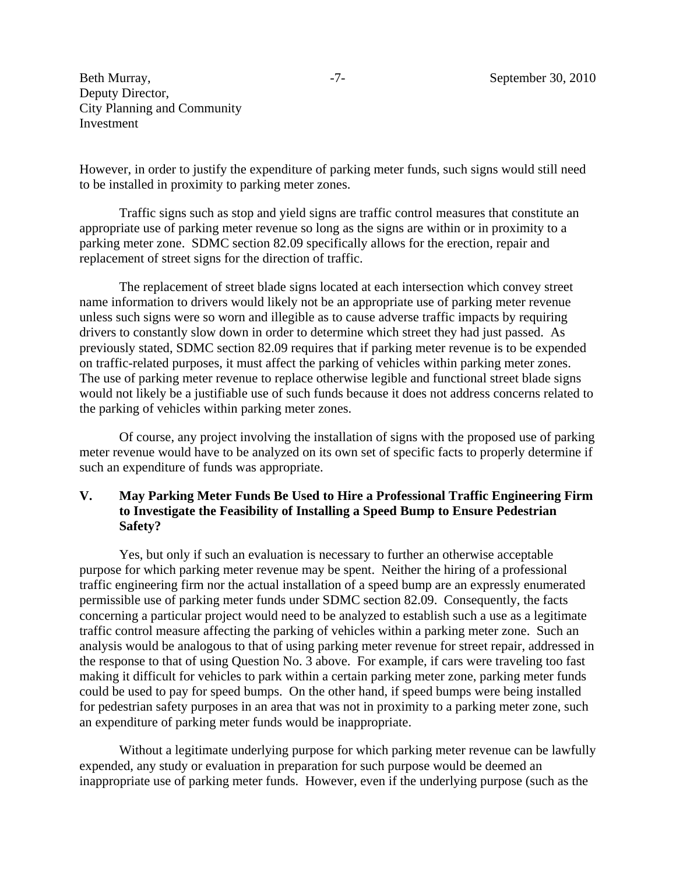However, in order to justify the expenditure of parking meter funds, such signs would still need to be installed in proximity to parking meter zones.

Traffic signs such as stop and yield signs are traffic control measures that constitute an appropriate use of parking meter revenue so long as the signs are within or in proximity to a parking meter zone. SDMC section 82.09 specifically allows for the erection, repair and replacement of street signs for the direction of traffic.

The replacement of street blade signs located at each intersection which convey street name information to drivers would likely not be an appropriate use of parking meter revenue unless such signs were so worn and illegible as to cause adverse traffic impacts by requiring drivers to constantly slow down in order to determine which street they had just passed. As previously stated, SDMC section 82.09 requires that if parking meter revenue is to be expended on traffic-related purposes, it must affect the parking of vehicles within parking meter zones. The use of parking meter revenue to replace otherwise legible and functional street blade signs would not likely be a justifiable use of such funds because it does not address concerns related to the parking of vehicles within parking meter zones.

Of course, any project involving the installation of signs with the proposed use of parking meter revenue would have to be analyzed on its own set of specific facts to properly determine if such an expenditure of funds was appropriate.

## **V. May Parking Meter Funds Be Used to Hire a Professional Traffic Engineering Firm to Investigate the Feasibility of Installing a Speed Bump to Ensure Pedestrian Safety?**

Yes, but only if such an evaluation is necessary to further an otherwise acceptable purpose for which parking meter revenue may be spent. Neither the hiring of a professional traffic engineering firm nor the actual installation of a speed bump are an expressly enumerated permissible use of parking meter funds under SDMC section 82.09. Consequently, the facts concerning a particular project would need to be analyzed to establish such a use as a legitimate traffic control measure affecting the parking of vehicles within a parking meter zone. Such an analysis would be analogous to that of using parking meter revenue for street repair, addressed in the response to that of using Question No. 3 above. For example, if cars were traveling too fast making it difficult for vehicles to park within a certain parking meter zone, parking meter funds could be used to pay for speed bumps. On the other hand, if speed bumps were being installed for pedestrian safety purposes in an area that was not in proximity to a parking meter zone, such an expenditure of parking meter funds would be inappropriate.

Without a legitimate underlying purpose for which parking meter revenue can be lawfully expended, any study or evaluation in preparation for such purpose would be deemed an inappropriate use of parking meter funds. However, even if the underlying purpose (such as the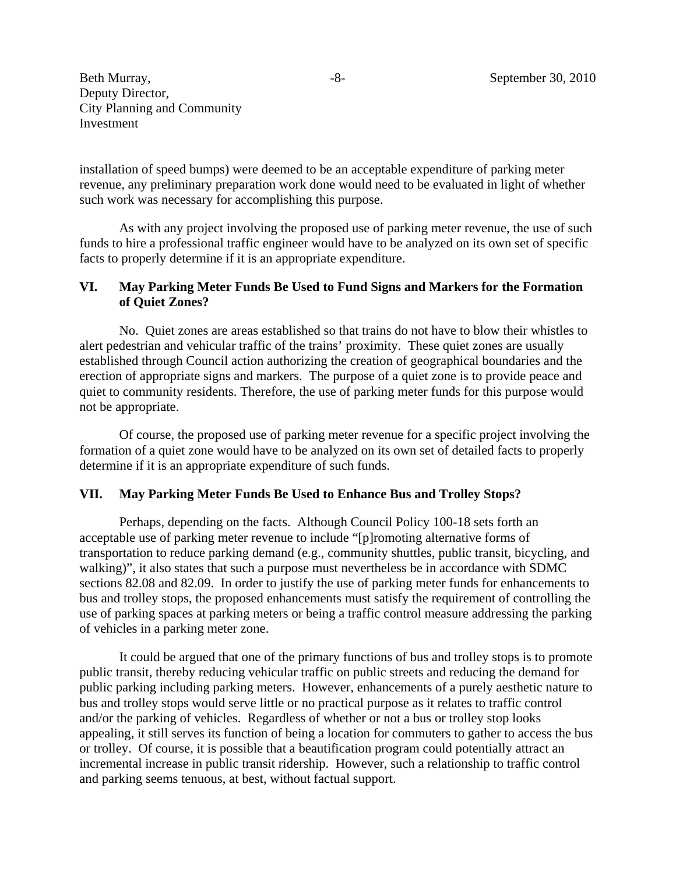installation of speed bumps) were deemed to be an acceptable expenditure of parking meter revenue, any preliminary preparation work done would need to be evaluated in light of whether such work was necessary for accomplishing this purpose.

As with any project involving the proposed use of parking meter revenue, the use of such funds to hire a professional traffic engineer would have to be analyzed on its own set of specific facts to properly determine if it is an appropriate expenditure.

# **VI. May Parking Meter Funds Be Used to Fund Signs and Markers for the Formation of Quiet Zones?**

No. Quiet zones are areas established so that trains do not have to blow their whistles to alert pedestrian and vehicular traffic of the trains' proximity. These quiet zones are usually established through Council action authorizing the creation of geographical boundaries and the erection of appropriate signs and markers. The purpose of a quiet zone is to provide peace and quiet to community residents. Therefore, the use of parking meter funds for this purpose would not be appropriate.

Of course, the proposed use of parking meter revenue for a specific project involving the formation of a quiet zone would have to be analyzed on its own set of detailed facts to properly determine if it is an appropriate expenditure of such funds.

# **VII. May Parking Meter Funds Be Used to Enhance Bus and Trolley Stops?**

Perhaps, depending on the facts. Although Council Policy 100-18 sets forth an acceptable use of parking meter revenue to include "[p]romoting alternative forms of transportation to reduce parking demand (e.g., community shuttles, public transit, bicycling, and walking)", it also states that such a purpose must nevertheless be in accordance with SDMC sections 82.08 and 82.09. In order to justify the use of parking meter funds for enhancements to bus and trolley stops, the proposed enhancements must satisfy the requirement of controlling the use of parking spaces at parking meters or being a traffic control measure addressing the parking of vehicles in a parking meter zone.

It could be argued that one of the primary functions of bus and trolley stops is to promote public transit, thereby reducing vehicular traffic on public streets and reducing the demand for public parking including parking meters. However, enhancements of a purely aesthetic nature to bus and trolley stops would serve little or no practical purpose as it relates to traffic control and/or the parking of vehicles. Regardless of whether or not a bus or trolley stop looks appealing, it still serves its function of being a location for commuters to gather to access the bus or trolley. Of course, it is possible that a beautification program could potentially attract an incremental increase in public transit ridership. However, such a relationship to traffic control and parking seems tenuous, at best, without factual support.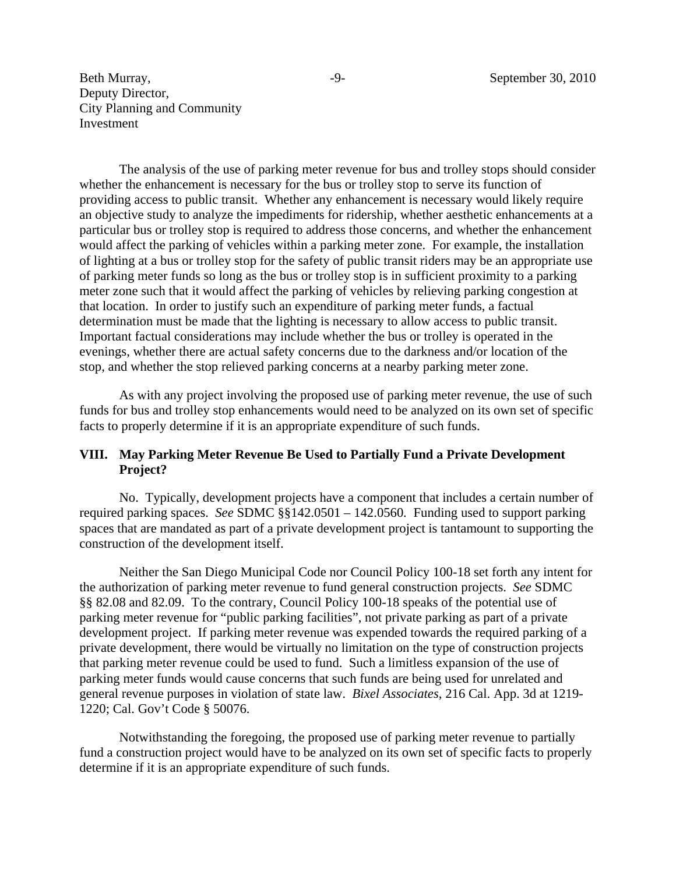The analysis of the use of parking meter revenue for bus and trolley stops should consider whether the enhancement is necessary for the bus or trolley stop to serve its function of providing access to public transit. Whether any enhancement is necessary would likely require an objective study to analyze the impediments for ridership, whether aesthetic enhancements at a particular bus or trolley stop is required to address those concerns, and whether the enhancement would affect the parking of vehicles within a parking meter zone. For example, the installation of lighting at a bus or trolley stop for the safety of public transit riders may be an appropriate use of parking meter funds so long as the bus or trolley stop is in sufficient proximity to a parking meter zone such that it would affect the parking of vehicles by relieving parking congestion at that location. In order to justify such an expenditure of parking meter funds, a factual determination must be made that the lighting is necessary to allow access to public transit. Important factual considerations may include whether the bus or trolley is operated in the evenings, whether there are actual safety concerns due to the darkness and/or location of the stop, and whether the stop relieved parking concerns at a nearby parking meter zone.

As with any project involving the proposed use of parking meter revenue, the use of such funds for bus and trolley stop enhancements would need to be analyzed on its own set of specific facts to properly determine if it is an appropriate expenditure of such funds.

## **VIII. May Parking Meter Revenue Be Used to Partially Fund a Private Development Project?**

No. Typically, development projects have a component that includes a certain number of required parking spaces. *See* SDMC §§142.0501 – 142.0560*.* Funding used to support parking spaces that are mandated as part of a private development project is tantamount to supporting the construction of the development itself.

Neither the San Diego Municipal Code nor Council Policy 100-18 set forth any intent for the authorization of parking meter revenue to fund general construction projects. *See* SDMC §§ 82.08 and 82.09. To the contrary, Council Policy 100-18 speaks of the potential use of parking meter revenue for "public parking facilities", not private parking as part of a private development project. If parking meter revenue was expended towards the required parking of a private development, there would be virtually no limitation on the type of construction projects that parking meter revenue could be used to fund. Such a limitless expansion of the use of parking meter funds would cause concerns that such funds are being used for unrelated and general revenue purposes in violation of state law. *Bixel Associates*, 216 Cal. App. 3d at 1219- 1220; Cal. Gov't Code § 50076.

Notwithstanding the foregoing, the proposed use of parking meter revenue to partially fund a construction project would have to be analyzed on its own set of specific facts to properly determine if it is an appropriate expenditure of such funds.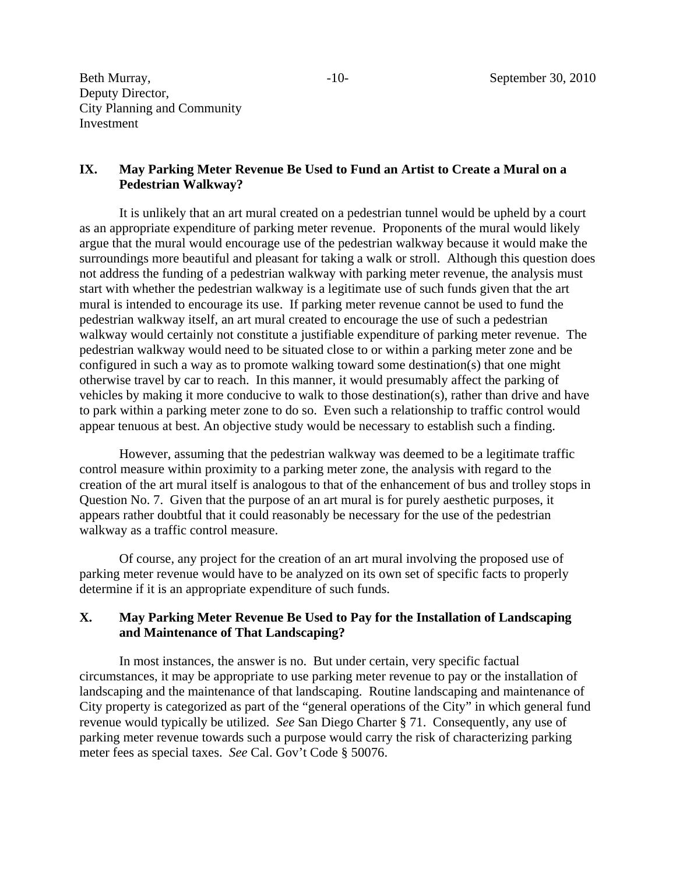## **IX. May Parking Meter Revenue Be Used to Fund an Artist to Create a Mural on a Pedestrian Walkway?**

It is unlikely that an art mural created on a pedestrian tunnel would be upheld by a court as an appropriate expenditure of parking meter revenue. Proponents of the mural would likely argue that the mural would encourage use of the pedestrian walkway because it would make the surroundings more beautiful and pleasant for taking a walk or stroll. Although this question does not address the funding of a pedestrian walkway with parking meter revenue, the analysis must start with whether the pedestrian walkway is a legitimate use of such funds given that the art mural is intended to encourage its use. If parking meter revenue cannot be used to fund the pedestrian walkway itself, an art mural created to encourage the use of such a pedestrian walkway would certainly not constitute a justifiable expenditure of parking meter revenue. The pedestrian walkway would need to be situated close to or within a parking meter zone and be configured in such a way as to promote walking toward some destination(s) that one might otherwise travel by car to reach. In this manner, it would presumably affect the parking of vehicles by making it more conducive to walk to those destination(s), rather than drive and have to park within a parking meter zone to do so. Even such a relationship to traffic control would appear tenuous at best. An objective study would be necessary to establish such a finding.

However, assuming that the pedestrian walkway was deemed to be a legitimate traffic control measure within proximity to a parking meter zone, the analysis with regard to the creation of the art mural itself is analogous to that of the enhancement of bus and trolley stops in Question No. 7. Given that the purpose of an art mural is for purely aesthetic purposes, it appears rather doubtful that it could reasonably be necessary for the use of the pedestrian walkway as a traffic control measure.

Of course, any project for the creation of an art mural involving the proposed use of parking meter revenue would have to be analyzed on its own set of specific facts to properly determine if it is an appropriate expenditure of such funds.

## **X. May Parking Meter Revenue Be Used to Pay for the Installation of Landscaping and Maintenance of That Landscaping?**

In most instances, the answer is no. But under certain, very specific factual circumstances, it may be appropriate to use parking meter revenue to pay or the installation of landscaping and the maintenance of that landscaping. Routine landscaping and maintenance of City property is categorized as part of the "general operations of the City" in which general fund revenue would typically be utilized. *See* San Diego Charter § 71. Consequently, any use of parking meter revenue towards such a purpose would carry the risk of characterizing parking meter fees as special taxes. *See* Cal. Gov't Code § 50076.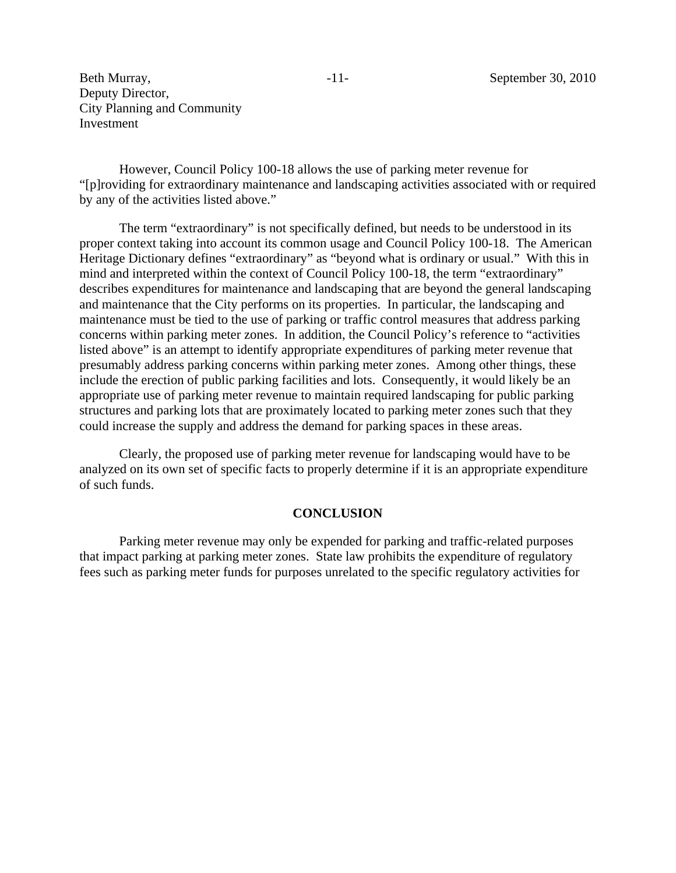However, Council Policy 100-18 allows the use of parking meter revenue for "[p]roviding for extraordinary maintenance and landscaping activities associated with or required by any of the activities listed above."

The term "extraordinary" is not specifically defined, but needs to be understood in its proper context taking into account its common usage and Council Policy 100-18. The American Heritage Dictionary defines "extraordinary" as "beyond what is ordinary or usual." With this in mind and interpreted within the context of Council Policy 100-18, the term "extraordinary" describes expenditures for maintenance and landscaping that are beyond the general landscaping and maintenance that the City performs on its properties. In particular, the landscaping and maintenance must be tied to the use of parking or traffic control measures that address parking concerns within parking meter zones. In addition, the Council Policy's reference to "activities listed above" is an attempt to identify appropriate expenditures of parking meter revenue that presumably address parking concerns within parking meter zones. Among other things, these include the erection of public parking facilities and lots. Consequently, it would likely be an appropriate use of parking meter revenue to maintain required landscaping for public parking structures and parking lots that are proximately located to parking meter zones such that they could increase the supply and address the demand for parking spaces in these areas.

Clearly, the proposed use of parking meter revenue for landscaping would have to be analyzed on its own set of specific facts to properly determine if it is an appropriate expenditure of such funds.

#### **CONCLUSION**

Parking meter revenue may only be expended for parking and traffic-related purposes that impact parking at parking meter zones. State law prohibits the expenditure of regulatory fees such as parking meter funds for purposes unrelated to the specific regulatory activities for